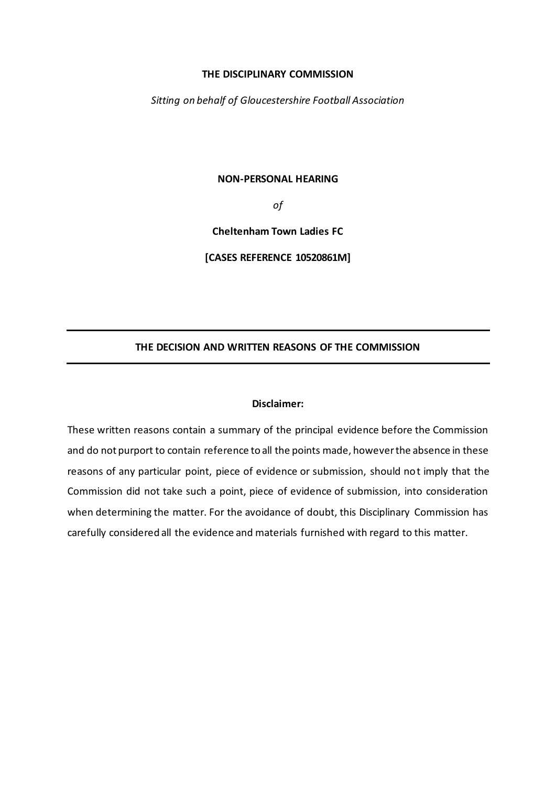#### **THE DISCIPLINARY COMMISSION**

*Sitting on behalf of Gloucestershire Football Association*

#### **NON-PERSONAL HEARING**

*of*

**Cheltenham Town Ladies FC**

**[CASES REFERENCE 10520861M]**

## **THE DECISION AND WRITTEN REASONS OF THE COMMISSION**

#### **Disclaimer:**

These written reasons contain a summary of the principal evidence before the Commission and do not purport to contain reference to all the points made, however the absence in these reasons of any particular point, piece of evidence or submission, should not imply that the Commission did not take such a point, piece of evidence of submission, into consideration when determining the matter. For the avoidance of doubt, this Disciplinary Commission has carefully considered all the evidence and materials furnished with regard to this matter.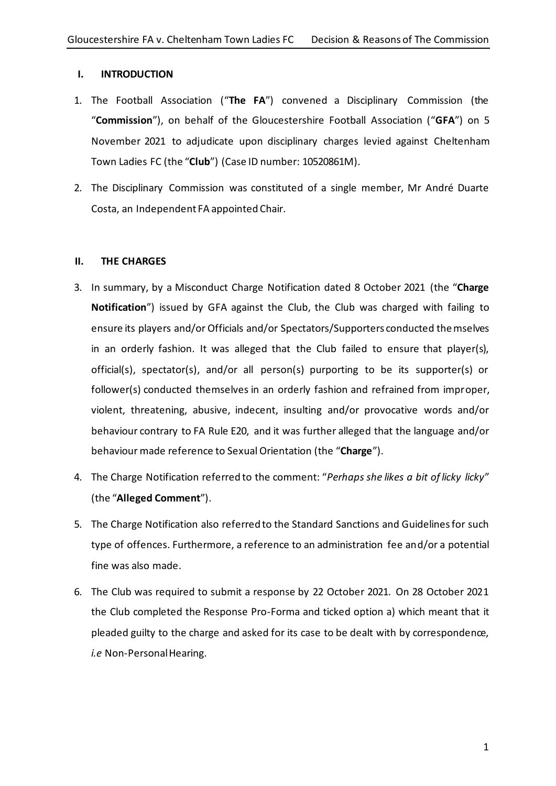## **I. INTRODUCTION**

- 1. The Football Association ("**The FA**") convened a Disciplinary Commission (the "**Commission**"), on behalf of the Gloucestershire Football Association ("**GFA**") on 5 November 2021 to adjudicate upon disciplinary charges levied against Cheltenham Town Ladies FC (the "**Club**") (Case ID number: 10520861M).
- 2. The Disciplinary Commission was constituted of a single member, Mr André Duarte Costa, an Independent FA appointed Chair.

# **II. THE CHARGES**

- 3. In summary, by a Misconduct Charge Notification dated 8 October 2021 (the "**Charge Notification**") issued by GFA against the Club, the Club was charged with failing to ensure its players and/or Officials and/or Spectators/Supporters conducted themselves in an orderly fashion. It was alleged that the Club failed to ensure that player(s), official(s), spectator(s), and/or all person(s) purporting to be its supporter(s) or follower(s) conducted themselves in an orderly fashion and refrained from improper, violent, threatening, abusive, indecent, insulting and/or provocative words and/or behaviour contrary to FA Rule E20, and it was further alleged that the language and/or behaviour made reference to Sexual Orientation (the "**Charge**").
- 4. The Charge Notification referred to the comment: "*Perhaps she likes a bit of licky licky*" (the "**Alleged Comment**").
- 5. The Charge Notification also referred to the Standard Sanctions and Guidelines for such type of offences. Furthermore, a reference to an administration fee and/or a potential fine was also made.
- 6. The Club was required to submit a response by 22 October 2021. On 28 October 2021 the Club completed the Response Pro-Forma and ticked option a) which meant that it pleaded guilty to the charge and asked for its case to be dealt with by correspondence, *i.e* Non-Personal Hearing.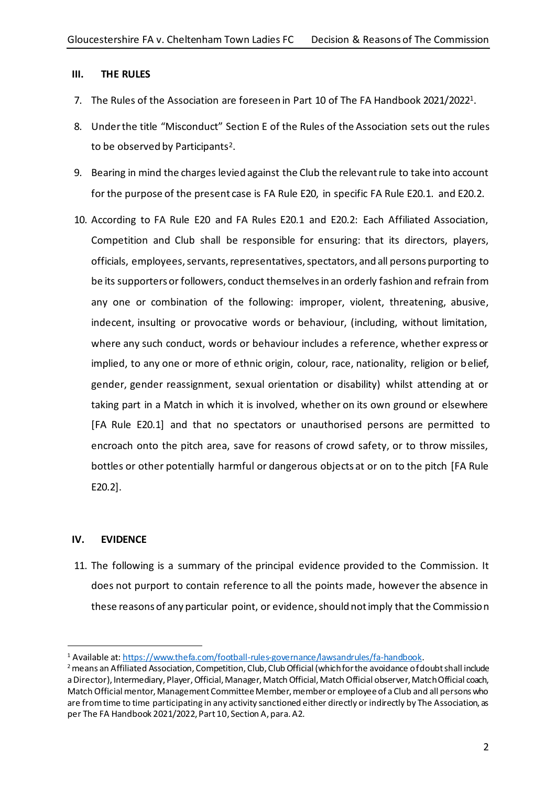### **III. THE RULES**

- 7. The Rules of the Association are foreseen in Part 10 of The FA Handbook 2021/2022 1 .
- 8. Under the title "Misconduct" Section E of the Rules of the Association sets out the rules to be observed by Participants $^2$ .
- 9. Bearing in mind the charges levied against the Club the relevant rule to take into account for the purpose of the present case is FA Rule E20, in specific FA Rule E20.1. and E20.2.
- 10. According to FA Rule E20 and FA Rules E20.1 and E20.2: Each Affiliated Association, Competition and Club shall be responsible for ensuring: that its directors, players, officials, employees, servants, representatives, spectators, and all persons purporting to be its supporters or followers, conduct themselves in an orderly fashion and refrain from any one or combination of the following: improper, violent, threatening, abusive, indecent, insulting or provocative words or behaviour, (including, without limitation, where any such conduct, words or behaviour includes a reference, whether express or implied, to any one or more of ethnic origin, colour, race, nationality, religion or belief, gender, gender reassignment, sexual orientation or disability) whilst attending at or taking part in a Match in which it is involved, whether on its own ground or elsewhere [FA Rule E20.1] and that no spectators or unauthorised persons are permitted to encroach onto the pitch area, save for reasons of crowd safety, or to throw missiles, bottles or other potentially harmful or dangerous objects at or on to the pitch [FA Rule E20.2].

## **IV. EVIDENCE**

11. The following is a summary of the principal evidence provided to the Commission. It does not purport to contain reference to all the points made, however the absence in these reasons of any particular point, or evidence, should not imply that the Commission

<sup>1</sup> Available at[: https://www.thefa.com/football-rules-governance/lawsandrules/fa-handbook](https://www.thefa.com/football-rules-governance/lawsandrules/fa-handbook).

<sup>&</sup>lt;sup>2</sup> means an Affiliated Association, Competition, Club, Club Official (which for the avoidance of doubt shall include a Director), Intermediary, Player, Official, Manager, Match Official, Match Official observer, Match Official coach, Match Official mentor, Management Committee Member, member or employee of a Club and all persons who are from time to time participating in any activity sanctioned either directly or indirectly by The Association, as per The FA Handbook 2021/2022, Part 10, Section A, para. A2.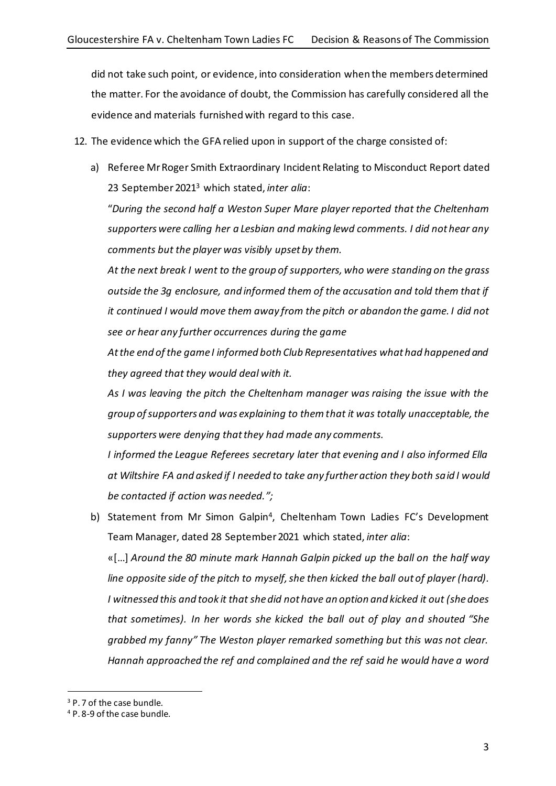did not take such point, or evidence, into consideration when the members determined the matter. For the avoidance of doubt, the Commission has carefully considered all the evidence and materials furnished with regard to this case.

- 12. The evidence which the GFA relied upon in support of the charge consisted of:
	- a) Referee Mr Roger Smith Extraordinary Incident Relating to Misconduct Report dated 23 September 2021<sup>3</sup> which stated, *inter alia*:

"*During the second half a Weston Super Mare player reported that the Cheltenham supporters were calling her a Lesbian and making lewd comments. I did not hear any comments but the player was visibly upset by them.*

*At the next break I went to the group of supporters, who were standing on the grass outside the 3g enclosure, and informed them of the accusation and told them that if it continued I would move them away from the pitch or abandon the game. I did not see or hear any further occurrences during the game*

*At the end of the game I informed both Club Representatives what had happened and they agreed that they would deal with it.*

*As I was leaving the pitch the Cheltenham manager was raising the issue with the group of supporters and was explaining to them that it was totally unacceptable, the supporters were denying that they had made any comments.*

*I informed the League Referees secretary later that evening and I also informed Ella at Wiltshire FA and asked if I needed to take any further action they both said I would be contacted if action was needed.";*

b) Statement from Mr Simon Galpin<sup>4</sup>, Cheltenham Town Ladies FC's Development Team Manager, dated 28 September 2021 which stated, *inter alia*:

«[…] *Around the 80 minute mark Hannah Galpin picked up the ball on the half way line opposite side of the pitch to myself, she then kicked the ball out of player (hard). I witnessed this and took it that she did not have an option and kicked it out (she does that sometimes). In her words she kicked the ball out of play and shouted "She grabbed my fanny" The Weston player remarked something but this was not clear. Hannah approached the ref and complained and the ref said he would have a word* 

<sup>&</sup>lt;sup>3</sup> P. 7 of the case bundle.

<sup>4</sup> P. 8-9 of the case bundle.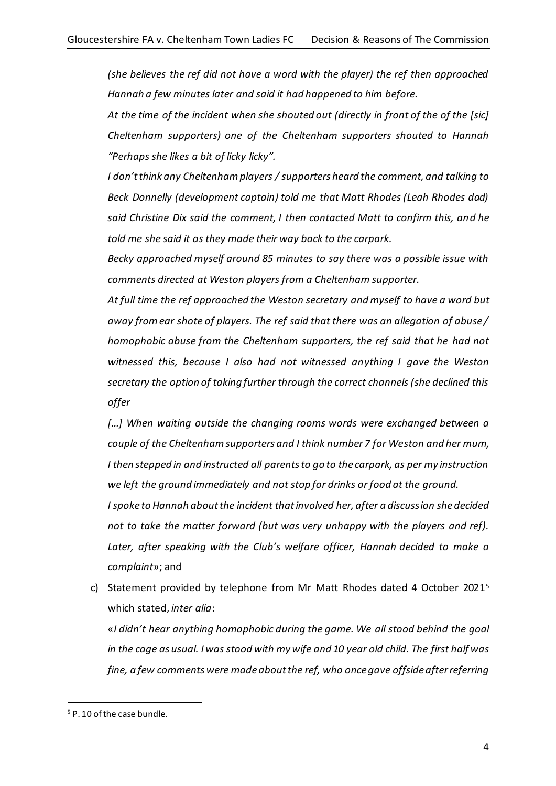*(she believes the ref did not have a word with the player) the ref then approached Hannah a few minutes later and said it had happened to him before.*

*At the time of the incident when she shouted out (directly in front of the of the [sic] Cheltenham supporters) one of the Cheltenham supporters shouted to Hannah "Perhaps she likes a bit of licky licky".*

*I don't think any Cheltenham players / supporters heard the comment, and talking to Beck Donnelly (development captain) told me that Matt Rhodes (Leah Rhodes dad) said Christine Dix said the comment, I then contacted Matt to confirm this, and he told me she said it as they made their way back to the carpark.*

*Becky approached myself around 85 minutes to say there was a possible issue with comments directed at Weston players from a Cheltenham supporter.*

*At full time the ref approached the Weston secretary and myself to have a word but away from ear shote of players. The ref said that there was an allegation of abuse / homophobic abuse from the Cheltenham supporters, the ref said that he had not witnessed this, because I also had not witnessed anything I gave the Weston secretary the option of taking further through the correct channels (she declined this offer*

[...] When waiting outside the changing rooms words were exchanged between a *couple of the Cheltenham supporters and I think number 7 for Weston and her mum, I then stepped in and instructed all parents to go to the carpark, as per my instruction we left the ground immediately and not stop for drinks or food at the ground.*

*I spoke to Hannah about the incident that involved her, after a discussion she decided not to take the matter forward (but was very unhappy with the players and ref).*  Later, after speaking with the Club's welfare officer, Hannah decided to make a *complaint*»; and

c) Statement provided by telephone from Mr Matt Rhodes dated 4 October 2021<sup>5</sup> which stated, *inter alia*:

«*I didn't hear anything homophobic during the game. We all stood behind the goal in the cage as usual. I was stood with my wife and 10 year old child. The first half was fine, a few comments were made about the ref, who once gave offside after referring* 

<sup>5</sup> P. 10 of the case bundle.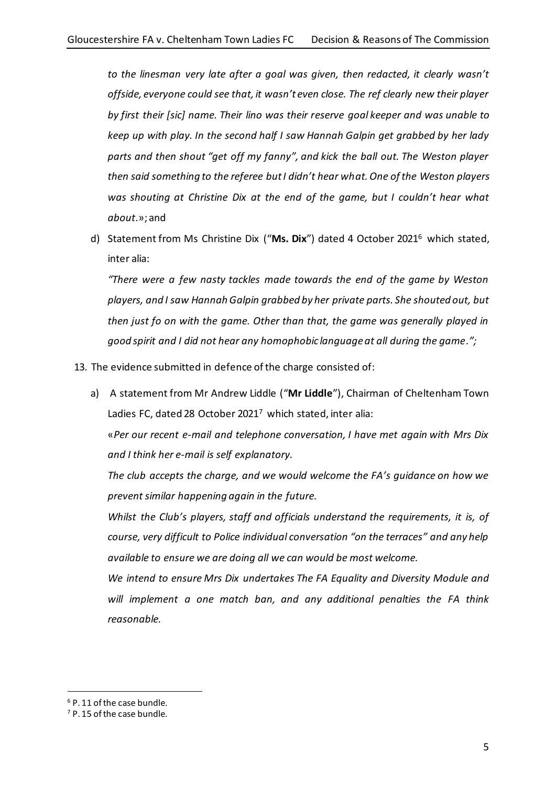*to the linesman very late after a goal was given, then redacted, it clearly wasn't offside, everyone could see that, it wasn't even close. The ref clearly new their player by first their [sic] name. Their lino was their reserve goal keeper and was unable to keep up with play. In the second half I saw Hannah Galpin get grabbed by her lady parts and then shout "get off my fanny", and kick the ball out. The Weston player then said something to the referee but I didn't hear what. One of the Weston players was shouting at Christine Dix at the end of the game, but I couldn't hear what about*.»; and

d) Statement from Ms Christine Dix ("**Ms. Dix**") dated 4 October 2021<sup>6</sup> which stated, inter alia:

*"There were a few nasty tackles made towards the end of the game by Weston players, and I saw Hannah Galpin grabbed by her private parts. She shouted out, but then just fo on with the game. Other than that, the game was generally played in good spirit and I did not hear any homophobic language at all during the game.";*

- 13. The evidence submitted in defence of the charge consisted of:
	- a) A statement from Mr Andrew Liddle ("**Mr Liddle**"), Chairman of Cheltenham Town Ladies FC, dated 28 October 2021<sup>7</sup> which stated, inter alia:

«*Per our recent e-mail and telephone conversation, I have met again with Mrs Dix and I think her e-mail is self explanatory.*

*The club accepts the charge, and we would welcome the FA's guidance on how we prevent similar happening again in the future.*

*Whilst the Club's players, staff and officials understand the requirements, it is, of course, very difficult to Police individual conversation "on the terraces" and any help available to ensure we are doing all we can would be most welcome.*

*We intend to ensure Mrs Dix undertakes The FA Equality and Diversity Module and will implement a one match ban, and any additional penalties the FA think reasonable.*

<sup>6</sup> P. 11 of the case bundle.

<sup>7</sup> P. 15 of the case bundle.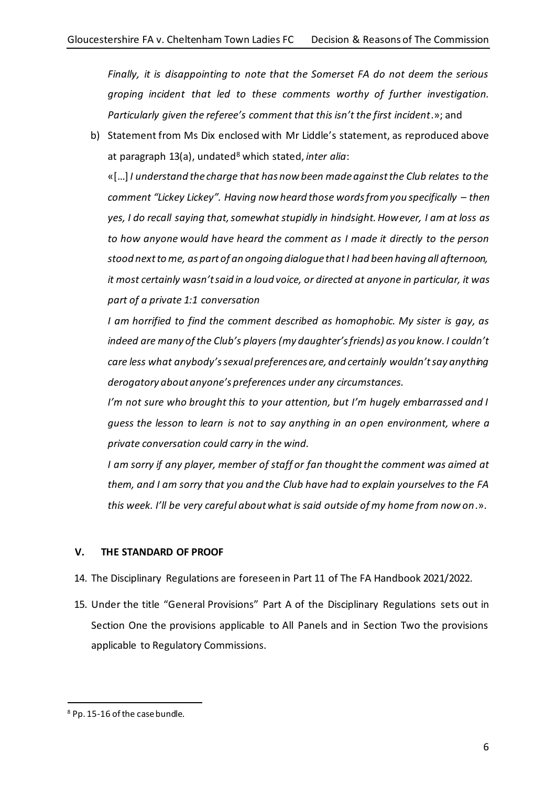*Finally, it is disappointing to note that the Somerset FA do not deem the serious groping incident that led to these comments worthy of further investigation. Particularly given the referee's comment that this isn't the first incident*.»; and

b) Statement from Ms Dix enclosed with Mr Liddle's statement, as reproduced above at paragraph 13(a), undated<sup>8</sup> which stated, *inter alia*:

«[…] *I understand the charge that has now been made against the Club relates to the comment "Lickey Lickey". Having now heard those words from you specifically – then yes, I do recall saying that, somewhat stupidly in hindsight. However, I am at loss as to how anyone would have heard the comment as I made it directly to the person stood next to me, as part of an ongoing dialogue that I had been having all afternoon, it most certainly wasn't said in a loud voice, or directed at anyone in particular, it was part of a private 1:1 conversation*

*I am horrified to find the comment described as homophobic. My sister is gay, as indeed are many of the Club's players (my daughter's friends) as you know. I couldn't care less what anybody's sexual preferences are, and certainly wouldn't say anything derogatory about anyone's preferences under any circumstances.* 

*I'm not sure who brought this to your attention, but I'm hugely embarrassed and I guess the lesson to learn is not to say anything in an open environment, where a private conversation could carry in the wind.*

*I am sorry if any player, member of staff or fan thought the comment was aimed at them, and I am sorry that you and the Club have had to explain yourselves to the FA this week. I'll be very careful about what is said outside of my home from now on*.».

# **V. THE STANDARD OF PROOF**

- 14. The Disciplinary Regulations are foreseen in Part 11 of The FA Handbook 2021/2022.
- 15. Under the title "General Provisions" Part A of the Disciplinary Regulations sets out in Section One the provisions applicable to All Panels and in Section Two the provisions applicable to Regulatory Commissions.

<sup>8</sup> Pp. 15-16 of the case bundle.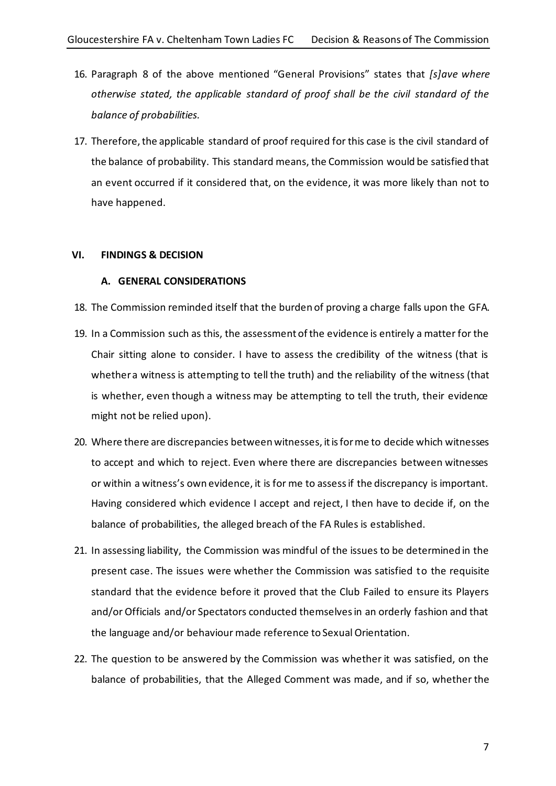- 16. Paragraph 8 of the above mentioned "General Provisions" states that *[s]ave where otherwise stated, the applicable standard of proof shall be the civil standard of the balance of probabilities.*
- 17. Therefore, the applicable standard of proof required for this case is the civil standard of the balance of probability. This standard means, the Commission would be satisfied that an event occurred if it considered that, on the evidence, it was more likely than not to have happened.

## **VI. FINDINGS & DECISION**

## **A. GENERAL CONSIDERATIONS**

- 18. The Commission reminded itself that the burden of proving a charge falls upon the GFA.
- 19. In a Commission such as this, the assessment of the evidence is entirely a matter for the Chair sitting alone to consider. I have to assess the credibility of the witness (that is whether a witness is attempting to tell the truth) and the reliability of the witness (that is whether, even though a witness may be attempting to tell the truth, their evidence might not be relied upon).
- 20. Where there are discrepancies between witnesses, it is for me to decide which witnesses to accept and which to reject. Even where there are discrepancies between witnesses or within a witness's own evidence, it is for me to assess if the discrepancy is important. Having considered which evidence I accept and reject, I then have to decide if, on the balance of probabilities, the alleged breach of the FA Rules is established.
- 21. In assessing liability, the Commission was mindful of the issues to be determined in the present case. The issues were whether the Commission was satisfied to the requisite standard that the evidence before it proved that the Club Failed to ensure its Players and/or Officials and/or Spectators conducted themselves in an orderly fashion and that the language and/or behaviour made reference to Sexual Orientation.
- 22. The question to be answered by the Commission was whether it was satisfied, on the balance of probabilities, that the Alleged Comment was made, and if so, whether the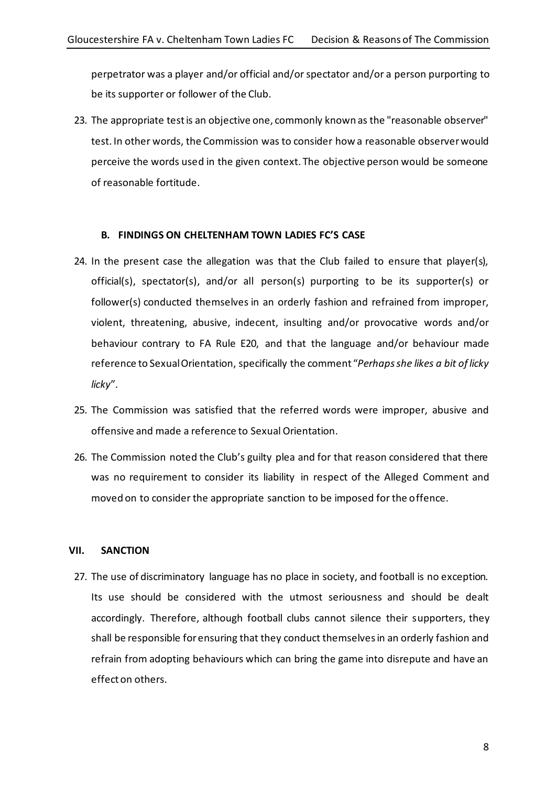perpetrator was a player and/or official and/or spectator and/or a person purporting to be its supporter or follower of the Club.

23. The appropriate test is an objective one, commonly known as the "reasonable observer" test. In other words, the Commission was to consider how a reasonable observer would perceive the words used in the given context. The objective person would be someone of reasonable fortitude.

# **B. FINDINGS ON CHELTENHAM TOWN LADIES FC'S CASE**

- 24. In the present case the allegation was that the Club failed to ensure that player(s), official(s), spectator(s), and/or all person(s) purporting to be its supporter(s) or follower(s) conducted themselves in an orderly fashion and refrained from improper, violent, threatening, abusive, indecent, insulting and/or provocative words and/or behaviour contrary to FA Rule E20, and that the language and/or behaviour made reference to Sexual Orientation, specifically the comment "*Perhaps she likes a bit of licky licky*".
- 25. The Commission was satisfied that the referred words were improper, abusive and offensive and made a reference to Sexual Orientation.
- 26. The Commission noted the Club's guilty plea and for that reason considered that there was no requirement to consider its liability in respect of the Alleged Comment and moved on to consider the appropriate sanction to be imposed for the offence.

## **VII. SANCTION**

27. The use of discriminatory language has no place in society, and football is no exception. Its use should be considered with the utmost seriousness and should be dealt accordingly. Therefore, although football clubs cannot silence their supporters, they shall be responsible for ensuring that they conduct themselves in an orderly fashion and refrain from adopting behaviours which can bring the game into disrepute and have an effect on others.